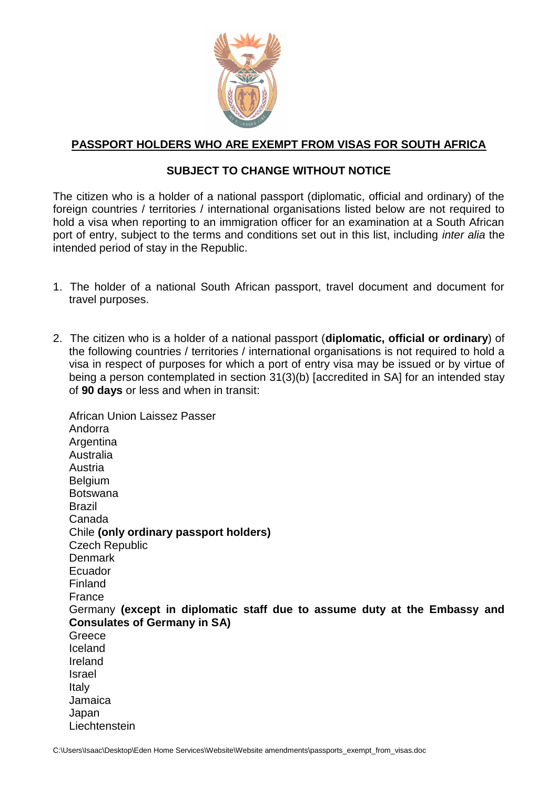

## **PASSPORT HOLDERS WHO ARE EXEMPT FROM VISAS FOR SOUTH AFRICA**

## **SUBJECT TO CHANGE WITHOUT NOTICE**

The citizen who is a holder of a national passport (diplomatic, official and ordinary) of the foreign countries / territories / international organisations listed below are not required to hold a visa when reporting to an immigration officer for an examination at a South African port of entry, subject to the terms and conditions set out in this list, including *inter alia* the intended period of stay in the Republic.

- 1. The holder of a national South African passport, travel document and document for travel purposes.
- 2. The citizen who is a holder of a national passport (**diplomatic, official or ordinary**) of the following countries / territories / international organisations is not required to hold a visa in respect of purposes for which a port of entry visa may be issued or by virtue of being a person contemplated in section 31(3)(b) [accredited in SA] for an intended stay of **90 days** or less and when in transit:

African Union Laissez Passer Andorra **Argentina** Australia Austria **Belgium** Botswana Brazil Canada Chile **(only ordinary passport holders)** Czech Republic Denmark Ecuador Finland France Germany **(except in diplomatic staff due to assume duty at the Embassy and Consulates of Germany in SA)** Greece Iceland Ireland Israel Italy Jamaica Japan **Liechtenstein**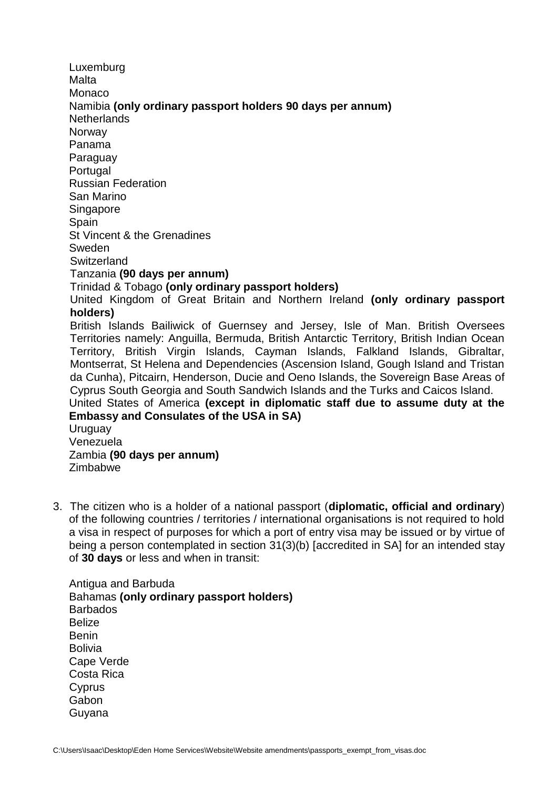Luxemburg Malta Monaco Namibia **(only ordinary passport holders 90 days per annum) Netherlands Norway** Panama Paraguay **Portugal** Russian Federation San Marino **Singapore Spain** St Vincent & the Grenadines Sweden **Switzerland** Tanzania **(90 days per annum)** Trinidad & Tobago **(only ordinary passport holders)** United Kingdom of Great Britain and Northern Ireland **(only ordinary passport holders)** British Islands Bailiwick of Guernsey and Jersey, Isle of Man. British Oversees Territories namely: Anguilla, Bermuda, British Antarctic Territory, British Indian Ocean Territory, British Virgin Islands, Cayman Islands, Falkland Islands, Gibraltar, Montserrat, St Helena and Dependencies (Ascension Island, Gough Island and Tristan da Cunha), Pitcairn, Henderson, Ducie and Oeno Islands, the Sovereign Base Areas of Cyprus South Georgia and South Sandwich Islands and the Turks and Caicos Island. United States of America **(except in diplomatic staff due to assume duty at the Embassy and Consulates of the USA in SA)** Uruguay Venezuela Zambia **(90 days per annum)** Zimbabwe

3. The citizen who is a holder of a national passport (**diplomatic, official and ordinary**) of the following countries / territories / international organisations is not required to hold a visa in respect of purposes for which a port of entry visa may be issued or by virtue of being a person contemplated in section 31(3)(b) [accredited in SA] for an intended stay of **30 days** or less and when in transit:

Antigua and Barbuda Bahamas **(only ordinary passport holders)** Barbados Belize Benin Bolivia Cape Verde Costa Rica **C**vprus **Gabon** Guyana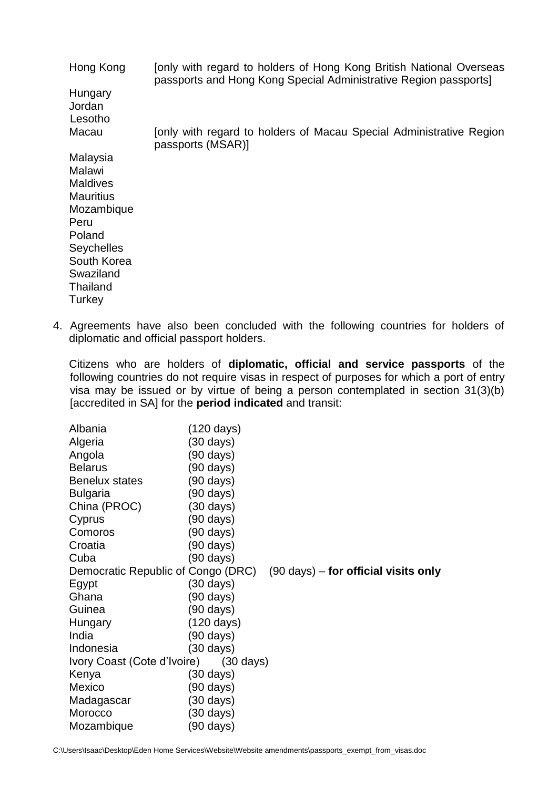| Hong Kong          | Jonly with regard to holders of Hong Kong British National Overseas<br>passports and Hong Kong Special Administrative Region passports] |
|--------------------|-----------------------------------------------------------------------------------------------------------------------------------------|
| Hungary<br>Jordan  |                                                                                                                                         |
| Lesotho            |                                                                                                                                         |
| Macau              | Jonly with regard to holders of Macau Special Administrative Region<br>passports (MSAR)]                                                |
| Malaysia<br>Malawi |                                                                                                                                         |
| <b>Maldives</b>    |                                                                                                                                         |
| <b>Mauritius</b>   |                                                                                                                                         |
| Mozambique         |                                                                                                                                         |
| Peru               |                                                                                                                                         |
| Poland             |                                                                                                                                         |
| <b>Seychelles</b>  |                                                                                                                                         |
| South Korea        |                                                                                                                                         |
| Swaziland          |                                                                                                                                         |
| Thailand           |                                                                                                                                         |
| Turkey             |                                                                                                                                         |

4. Agreements have also been concluded with the following countries for holders of diplomatic and official passport holders.

Citizens who are holders of **diplomatic, official and service passports** of the following countries do not require visas in respect of purposes for which a port of entry visa may be issued or by virtue of being a person contemplated in section 31(3)(b) [accredited in SA] for the **period indicated** and transit:

| Albania                                                                              | (120 days)          |  |  |  |
|--------------------------------------------------------------------------------------|---------------------|--|--|--|
| Algeria                                                                              | (30 days)           |  |  |  |
| Angola                                                                               | (90 days)           |  |  |  |
| <b>Belarus</b>                                                                       | (90 days)           |  |  |  |
| <b>Benelux states</b>                                                                | (90 days)           |  |  |  |
| <b>Bulgaria</b>                                                                      | (90 days)           |  |  |  |
| China (PROC)                                                                         | $(30 \text{ days})$ |  |  |  |
| Cyprus                                                                               | (90 days)           |  |  |  |
| Comoros                                                                              | (90 days)           |  |  |  |
| Croatia                                                                              | (90 days)           |  |  |  |
| Cuba                                                                                 | (90 days)           |  |  |  |
| $(90 \text{ days})$ – for official visits only<br>Democratic Republic of Congo (DRC) |                     |  |  |  |
| Egypt                                                                                | (30 days)           |  |  |  |
| Ghana                                                                                | (90 days)           |  |  |  |
| Guinea                                                                               | (90 days)           |  |  |  |
| Hungary                                                                              | (120 days)          |  |  |  |
| India                                                                                | (90 days)           |  |  |  |
| Indonesia                                                                            | (30 days)           |  |  |  |
| Ivory Coast (Cote d'Ivoire)<br>$(30 \text{ days})$                                   |                     |  |  |  |
| Kenya                                                                                | (30 days)           |  |  |  |
| Mexico                                                                               | (90 days)           |  |  |  |
| Madagascar                                                                           | (30 days)           |  |  |  |
| Morocco                                                                              | (30 days)           |  |  |  |
| Mozambique                                                                           | (90 days)           |  |  |  |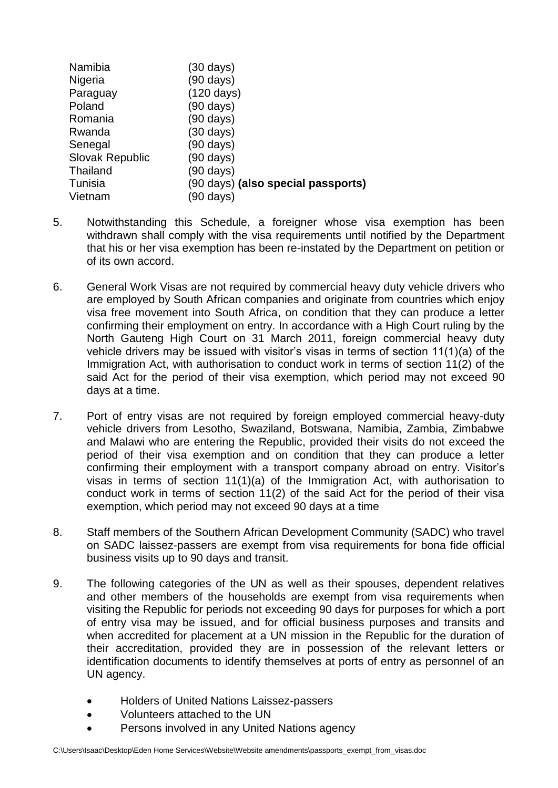| Namibia                | (30 days)                                 |
|------------------------|-------------------------------------------|
| Nigeria                | $(90 \text{ days})$                       |
| Paraguay               | $(120 \text{ days})$                      |
| Poland                 | $(90 \text{ days})$                       |
| Romania                | $(90 \text{ days})$                       |
| Rwanda                 | $(30 \text{ days})$                       |
| Senegal                | (90 days)                                 |
| <b>Slovak Republic</b> | $(90 \text{ days})$                       |
| Thailand               | (90 days)                                 |
| Tunisia                | (90 days) <b>(also special passports)</b> |
| Vietnam                | (90 days)                                 |

- 5. Notwithstanding this Schedule, a foreigner whose visa exemption has been withdrawn shall comply with the visa requirements until notified by the Department that his or her visa exemption has been re-instated by the Department on petition or of its own accord.
- 6. General Work Visas are not required by commercial heavy duty vehicle drivers who are employed by South African companies and originate from countries which enjoy visa free movement into South Africa, on condition that they can produce a letter confirming their employment on entry. In accordance with a High Court ruling by the North Gauteng High Court on 31 March 2011, foreign commercial heavy duty vehicle drivers may be issued with visitor's visas in terms of section 11(1)(a) of the Immigration Act, with authorisation to conduct work in terms of section 11(2) of the said Act for the period of their visa exemption, which period may not exceed 90 days at a time.
- 7. Port of entry visas are not required by foreign employed commercial heavy-duty vehicle drivers from Lesotho, Swaziland, Botswana, Namibia, Zambia, Zimbabwe and Malawi who are entering the Republic, provided their visits do not exceed the period of their visa exemption and on condition that they can produce a letter confirming their employment with a transport company abroad on entry. Visitor's visas in terms of section 11(1)(a) of the Immigration Act, with authorisation to conduct work in terms of section 11(2) of the said Act for the period of their visa exemption, which period may not exceed 90 days at a time
- 8. Staff members of the Southern African Development Community (SADC) who travel on SADC laissez-passers are exempt from visa requirements for bona fide official business visits up to 90 days and transit.
- 9. The following categories of the UN as well as their spouses, dependent relatives and other members of the households are exempt from visa requirements when visiting the Republic for periods not exceeding 90 days for purposes for which a port of entry visa may be issued, and for official business purposes and transits and when accredited for placement at a UN mission in the Republic for the duration of their accreditation, provided they are in possession of the relevant letters or identification documents to identify themselves at ports of entry as personnel of an UN agency.
	- Holders of United Nations Laissez-passers
	- Volunteers attached to the UN
	- Persons involved in any United Nations agency